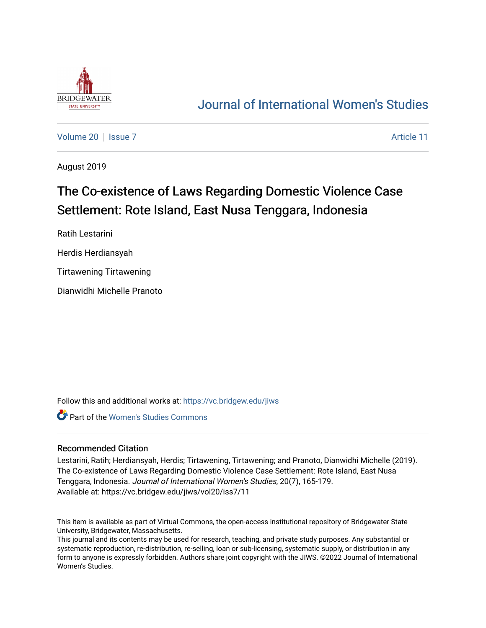

## [Journal of International Women's Studies](https://vc.bridgew.edu/jiws)

[Volume 20](https://vc.bridgew.edu/jiws/vol20) | [Issue 7](https://vc.bridgew.edu/jiws/vol20/iss7) Article 11

August 2019

# The Co-existence of Laws Regarding Domestic Violence Case Settlement: Rote Island, East Nusa Tenggara, Indonesia

Ratih Lestarini

Herdis Herdiansyah

Tirtawening Tirtawening

Dianwidhi Michelle Pranoto

Follow this and additional works at: [https://vc.bridgew.edu/jiws](https://vc.bridgew.edu/jiws?utm_source=vc.bridgew.edu%2Fjiws%2Fvol20%2Fiss7%2F11&utm_medium=PDF&utm_campaign=PDFCoverPages)

**Part of the Women's Studies Commons** 

#### Recommended Citation

Lestarini, Ratih; Herdiansyah, Herdis; Tirtawening, Tirtawening; and Pranoto, Dianwidhi Michelle (2019). The Co-existence of Laws Regarding Domestic Violence Case Settlement: Rote Island, East Nusa Tenggara, Indonesia. Journal of International Women's Studies, 20(7), 165-179. Available at: https://vc.bridgew.edu/jiws/vol20/iss7/11

This item is available as part of Virtual Commons, the open-access institutional repository of Bridgewater State University, Bridgewater, Massachusetts.

This journal and its contents may be used for research, teaching, and private study purposes. Any substantial or systematic reproduction, re-distribution, re-selling, loan or sub-licensing, systematic supply, or distribution in any form to anyone is expressly forbidden. Authors share joint copyright with the JIWS. ©2022 Journal of International Women's Studies.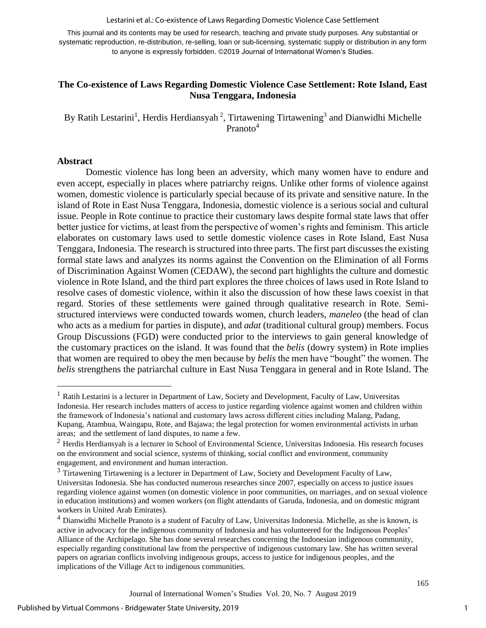Lestarini et al.: Co-existence of Laws Regarding Domestic Violence Case Settlement

This journal and its contents may be used for research, teaching and private study purposes. Any substantial or systematic reproduction, re-distribution, re-selling, loan or sub-licensing, systematic supply or distribution in any form to anyone is expressly forbidden. ©2019 Journal of International Women's Studies.

## **The Co-existence of Laws Regarding Domestic Violence Case Settlement: Rote Island, East Nusa Tenggara, Indonesia**

By Ratih Lestarini<sup>1</sup>, Herdis Herdiansyah<sup>2</sup>, Tirtawening Tirtawening<sup>3</sup> and Dianwidhi Michelle Pranoto<sup>4</sup>

#### **Abstract**

 $\overline{\phantom{a}}$ 

Domestic violence has long been an adversity, which many women have to endure and even accept, especially in places where patriarchy reigns. Unlike other forms of violence against women, domestic violence is particularly special because of its private and sensitive nature. In the island of Rote in East Nusa Tenggara, Indonesia, domestic violence is a serious social and cultural issue. People in Rote continue to practice their customary laws despite formal state laws that offer better justice for victims, at least from the perspective of women's rights and feminism. This article elaborates on customary laws used to settle domestic violence cases in Rote Island, East Nusa Tenggara, Indonesia. The research is structured into three parts. The first part discusses the existing formal state laws and analyzes its norms against the Convention on the Elimination of all Forms of Discrimination Against Women (CEDAW), the second part highlights the culture and domestic violence in Rote Island, and the third part explores the three choices of laws used in Rote Island to resolve cases of domestic violence, within it also the discussion of how these laws coexist in that regard. Stories of these settlements were gained through qualitative research in Rote. Semistructured interviews were conducted towards women, church leaders, *maneleo* (the head of clan who acts as a medium for parties in dispute), and *adat* (traditional cultural group) members. Focus Group Discussions (FGD) were conducted prior to the interviews to gain general knowledge of the customary practices on the island. It was found that the *belis* (dowry system) in Rote implies that women are required to obey the men because by *belis* the men have "bought" the women. The *belis* strengthens the patriarchal culture in East Nusa Tenggara in general and in Rote Island. The

<sup>&</sup>lt;sup>1</sup> Ratih Lestarini is a lecturer in Department of Law, Society and Development, Faculty of Law, Universitas Indonesia. Her research includes matters of access to justice regarding violence against women and children within the framework of Indonesia's national and customary laws across different cities including Malang, Padang, Kupang, Atambua, Waingapu, Rote, and Bajawa; the legal protection for women environmental activists in urban areas; and the settlement of land disputes, to name a few.

 $2$  Herdis Herdiansyah is a lecturer in School of Environmental Science, Universitas Indonesia. His research focuses on the environment and social science, systems of thinking, social conflict and environment, community engagement, and environment and human interaction.

 $3$  Tirtawening Tirtawening is a lecturer in Department of Law, Society and Development Faculty of Law, Universitas Indonesia. She has conducted numerous researches since 2007, especially on access to justice issues regarding violence against women (on domestic violence in poor communities, on marriages, and on sexual violence in education institutions) and women workers (on flight attendants of Garuda, Indonesia, and on domestic migrant workers in United Arab Emirates).

<sup>&</sup>lt;sup>4</sup> Dianwidhi Michelle Pranoto is a student of Faculty of Law, Universitas Indonesia. Michelle, as she is known, is active in advocacy for the indigenous community of Indonesia and has volunteered for the Indigenous Peoples' Alliance of the Archipelago. She has done several researches concerning the Indonesian indigenous community, especially regarding constitutional law from the perspective of indigenous customary law. She has written several papers on agrarian conflicts involving indigenous groups, access to justice for indigenous peoples, and the implications of the Village Act to indigenous communities.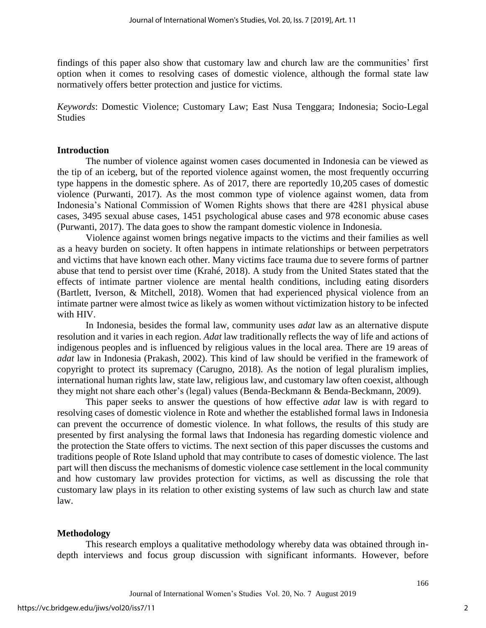findings of this paper also show that customary law and church law are the communities' first option when it comes to resolving cases of domestic violence, although the formal state law normatively offers better protection and justice for victims.

*Keywords*: Domestic Violence; Customary Law; East Nusa Tenggara; Indonesia; Socio-Legal **Studies** 

### **Introduction**

The number of violence against women cases documented in Indonesia can be viewed as the tip of an iceberg, but of the reported violence against women, the most frequently occurring type happens in the domestic sphere. As of 2017, there are reportedly 10,205 cases of domestic violence (Purwanti, 2017). As the most common type of violence against women, data from Indonesia's National Commission of Women Rights shows that there are 4281 physical abuse cases, 3495 sexual abuse cases, 1451 psychological abuse cases and 978 economic abuse cases (Purwanti, 2017). The data goes to show the rampant domestic violence in Indonesia.

Violence against women brings negative impacts to the victims and their families as well as a heavy burden on society. It often happens in intimate relationships or between perpetrators and victims that have known each other. Many victims face trauma due to severe forms of partner abuse that tend to persist over time (Krahé, 2018). A study from the United States stated that the effects of intimate partner violence are mental health conditions, including eating disorders (Bartlett, Iverson, & Mitchell, 2018). Women that had experienced physical violence from an intimate partner were almost twice as likely as women without victimization history to be infected with HIV.

In Indonesia, besides the formal law, community uses *adat* law as an alternative dispute resolution and it varies in each region. *Adat* law traditionally reflects the way of life and actions of indigenous peoples and is influenced by religious values in the local area. There are 19 areas of *adat* law in Indonesia (Prakash, 2002). This kind of law should be verified in the framework of copyright to protect its supremacy (Carugno, 2018). As the notion of legal pluralism implies, international human rights law, state law, religious law, and customary law often coexist, although they might not share each other's (legal) values (Benda-Beckmann & Benda-Beckmann, 2009).

This paper seeks to answer the questions of how effective *adat* law is with regard to resolving cases of domestic violence in Rote and whether the established formal laws in Indonesia can prevent the occurrence of domestic violence. In what follows, the results of this study are presented by first analysing the formal laws that Indonesia has regarding domestic violence and the protection the State offers to victims. The next section of this paper discusses the customs and traditions people of Rote Island uphold that may contribute to cases of domestic violence. The last part will then discuss the mechanisms of domestic violence case settlement in the local community and how customary law provides protection for victims, as well as discussing the role that customary law plays in its relation to other existing systems of law such as church law and state law.

## **Methodology**

This research employs a qualitative methodology whereby data was obtained through indepth interviews and focus group discussion with significant informants. However, before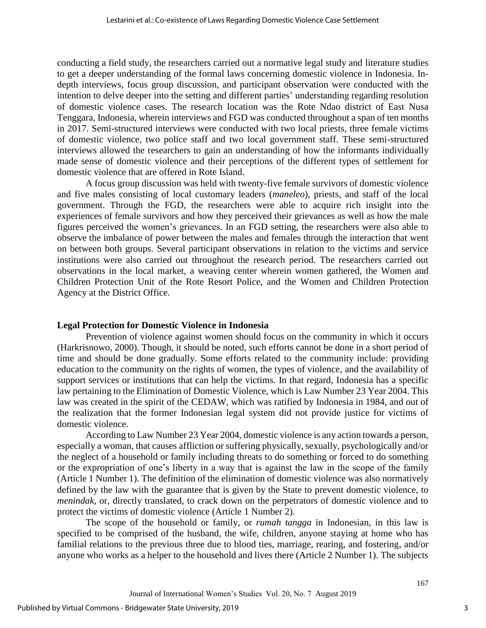conducting a field study, the researchers carried out a normative legal study and literature studies to get a deeper understanding of the formal laws concerning domestic violence in Indonesia. Indepth interviews, focus group discussion, and participant observation were conducted with the intention to delve deeper into the setting and different parties' understanding regarding resolution of domestic violence cases. The research location was the Rote Ndao district of East Nusa Tenggara, Indonesia, wherein interviews and FGD was conducted throughout a span of ten months in 2017. Semi-structured interviews were conducted with two local priests, three female victims of domestic violence, two police staff and two local government staff. These semi-structured interviews allowed the researchers to gain an understanding of how the informants individually made sense of domestic violence and their perceptions of the different types of settlement for domestic violence that are offered in Rote Island.

A focus group discussion was held with twenty-five female survivors of domestic violence and five males consisting of local customary leaders (*maneleo*), priests, and staff of the local government. Through the FGD, the researchers were able to acquire rich insight into the experiences of female survivors and how they perceived their grievances as well as how the male figures perceived the women's grievances. In an FGD setting, the researchers were also able to observe the imbalance of power between the males and females through the interaction that went on between both groups. Several participant observations in relation to the victims and service institutions were also carried out throughout the research period. The researchers carried out observations in the local market, a weaving center wherein women gathered, the Women and Children Protection Unit of the Rote Resort Police, and the Women and Children Protection Agency at the District Office.

#### **Legal Protection for Domestic Violence in Indonesia**

Prevention of violence against women should focus on the community in which it occurs (Harkrisnowo, 2000). Though, it should be noted, such efforts cannot be done in a short period of time and should be done gradually. Some efforts related to the community include: providing education to the community on the rights of women, the types of violence, and the availability of support services or institutions that can help the victims. In that regard, Indonesia has a specific law pertaining to the Elimination of Domestic Violence, which is Law Number 23 Year 2004. This law was created in the spirit of the CEDAW, which was ratified by Indonesia in 1984, and out of the realization that the former Indonesian legal system did not provide justice for victims of domestic violence.

According to Law Number 23 Year 2004, domestic violence is any action towards a person, especially a woman, that causes affliction or suffering physically, sexually, psychologically and/or the neglect of a household or family including threats to do something or forced to do something or the expropriation of one's liberty in a way that is against the law in the scope of the family (Article 1 Number 1). The definition of the elimination of domestic violence was also normatively defined by the law with the guarantee that is given by the State to prevent domestic violence, to *menindak,* or, directly translated, to crack down on the perpetrators of domestic violence and to protect the victims of domestic violence (Article 1 Number 2).

The scope of the household or family, or *rumah tangga* in Indonesian, in this law is specified to be comprised of the husband, the wife, children, anyone staying at home who has familial relations to the previous three due to blood ties, marriage, rearing, and fostering, and/or anyone who works as a helper to the household and lives there (Article 2 Number 1). The subjects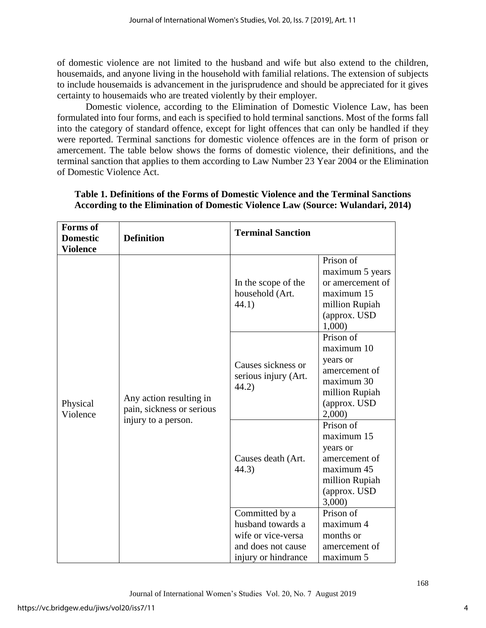of domestic violence are not limited to the husband and wife but also extend to the children, housemaids, and anyone living in the household with familial relations. The extension of subjects to include housemaids is advancement in the jurisprudence and should be appreciated for it gives certainty to housemaids who are treated violently by their employer.

Domestic violence, according to the Elimination of Domestic Violence Law, has been formulated into four forms, and each is specified to hold terminal sanctions. Most of the forms fall into the category of standard offence, except for light offences that can only be handled if they were reported. Terminal sanctions for domestic violence offences are in the form of prison or amercement. The table below shows the forms of domestic violence, their definitions, and the terminal sanction that applies to them according to Law Number 23 Year 2004 or the Elimination of Domestic Violence Act.

| <b>Forms</b> of<br><b>Domestic</b><br><b>Violence</b> | <b>Definition</b>                                                           | <b>Terminal Sanction</b>                                                                               |                                                                                                                |
|-------------------------------------------------------|-----------------------------------------------------------------------------|--------------------------------------------------------------------------------------------------------|----------------------------------------------------------------------------------------------------------------|
|                                                       |                                                                             | In the scope of the<br>household (Art.<br>44.1)                                                        | Prison of<br>maximum 5 years<br>or amercement of<br>maximum 15<br>million Rupiah<br>(approx. USD<br>1,000)     |
| Physical<br>Violence                                  | Any action resulting in<br>pain, sickness or serious<br>injury to a person. | Causes sickness or<br>serious injury (Art.<br>44.2)                                                    | Prison of<br>maximum 10<br>years or<br>amercement of<br>maximum 30<br>million Rupiah<br>(approx. USD)<br>2,000 |
|                                                       |                                                                             | Causes death (Art.<br>44.3)                                                                            | Prison of<br>maximum 15<br>years or<br>amercement of<br>maximum 45<br>million Rupiah<br>(approx. USD<br>3,000  |
|                                                       |                                                                             | Committed by a<br>husband towards a<br>wife or vice-versa<br>and does not cause<br>injury or hindrance | Prison of<br>maximum 4<br>months or<br>amercement of<br>maximum 5                                              |

## **Table 1. Definitions of the Forms of Domestic Violence and the Terminal Sanctions According to the Elimination of Domestic Violence Law (Source: Wulandari, 2014)**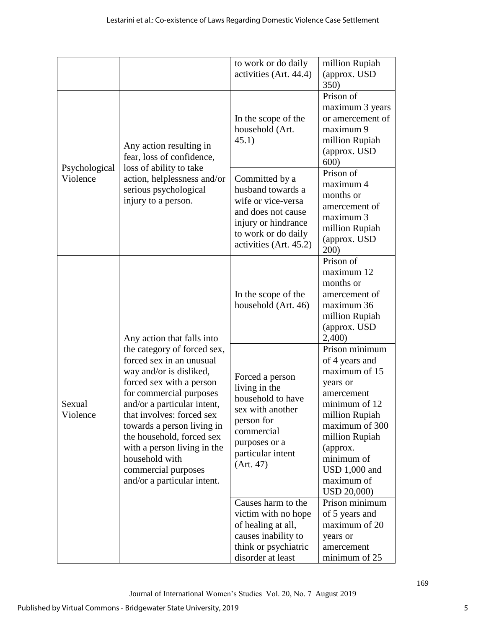|                           |                                                                                                                                                                                                                                                                                                                                                                                                       | to work or do daily<br>activities (Art. 44.4)                                                                                                            | million Rupiah<br>(approx. USD)<br>350)                                                                                                                                                                                    |
|---------------------------|-------------------------------------------------------------------------------------------------------------------------------------------------------------------------------------------------------------------------------------------------------------------------------------------------------------------------------------------------------------------------------------------------------|----------------------------------------------------------------------------------------------------------------------------------------------------------|----------------------------------------------------------------------------------------------------------------------------------------------------------------------------------------------------------------------------|
| Psychological<br>Violence | Any action resulting in<br>fear, loss of confidence,<br>loss of ability to take<br>action, helplessness and/or<br>serious psychological<br>injury to a person.                                                                                                                                                                                                                                        | In the scope of the<br>household (Art.<br>45.1)                                                                                                          | Prison of<br>maximum 3 years<br>or amercement of<br>maximum 9<br>million Rupiah<br>(approx. USD<br>600)                                                                                                                    |
|                           |                                                                                                                                                                                                                                                                                                                                                                                                       | Committed by a<br>husband towards a<br>wife or vice-versa<br>and does not cause<br>injury or hindrance<br>to work or do daily<br>activities (Art. 45.2)  | Prison of<br>maximum 4<br>months or<br>amercement of<br>maximum 3<br>million Rupiah<br>(approx. USD)<br>200)                                                                                                               |
| Sexual<br>Violence        | Any action that falls into<br>the category of forced sex,<br>forced sex in an unusual<br>way and/or is disliked,<br>forced sex with a person<br>for commercial purposes<br>and/or a particular intent,<br>that involves: forced sex<br>towards a person living in<br>the household, forced sex<br>with a person living in the<br>household with<br>commercial purposes<br>and/or a particular intent. | In the scope of the<br>household (Art. 46)                                                                                                               | Prison of<br>maximum 12<br>months or<br>amercement of<br>maximum 36<br>million Rupiah<br>(approx. USD<br>2,400)                                                                                                            |
|                           |                                                                                                                                                                                                                                                                                                                                                                                                       | Forced a person<br>living in the<br>household to have<br>sex with another<br>person for<br>commercial<br>purposes or a<br>particular intent<br>(Art. 47) | Prison minimum<br>of 4 years and<br>maximum of 15<br>years or<br>amercement<br>minimum of 12<br>million Rupiah<br>maximum of 300<br>million Rupiah<br>(approx.<br>minimum of<br>USD 1,000 and<br>maximum of<br>USD 20,000) |
|                           |                                                                                                                                                                                                                                                                                                                                                                                                       | Causes harm to the<br>victim with no hope<br>of healing at all,<br>causes inability to<br>think or psychiatric<br>disorder at least                      | Prison minimum<br>of 5 years and<br>maximum of 20<br>years or<br>amercement<br>minimum of 25                                                                                                                               |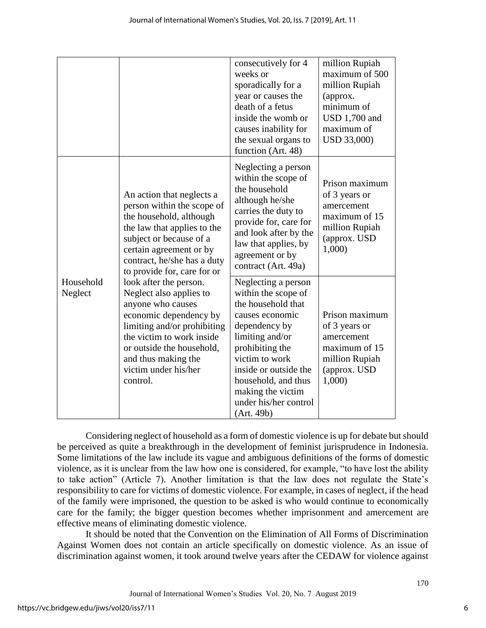|                      |                                                                                                                                                                                                                                                      | consecutively for 4<br>weeks or<br>sporadically for a<br>year or causes the<br>death of a fetus<br>inside the womb or<br>causes inability for<br>the sexual organs to<br>function (Art. 48)                                                                              | million Rupiah<br>maximum of 500<br>million Rupiah<br>(approx.<br>minimum of<br><b>USD 1,700 and</b><br>maximum of<br>USD 33,000) |
|----------------------|------------------------------------------------------------------------------------------------------------------------------------------------------------------------------------------------------------------------------------------------------|--------------------------------------------------------------------------------------------------------------------------------------------------------------------------------------------------------------------------------------------------------------------------|-----------------------------------------------------------------------------------------------------------------------------------|
|                      | An action that neglects a<br>person within the scope of<br>the household, although<br>the law that applies to the<br>subject or because of a<br>certain agreement or by<br>contract, he/she has a duty<br>to provide for, care for or                | Neglecting a person<br>within the scope of<br>the household<br>although he/she<br>carries the duty to<br>provide for, care for<br>and look after by the<br>law that applies, by<br>agreement or by<br>contract (Art. 49a)                                                | Prison maximum<br>of 3 years or<br>amercement<br>maximum of 15<br>million Rupiah<br>(approx. USD<br>1,000)                        |
| Household<br>Neglect | look after the person.<br>Neglect also applies to<br>anyone who causes<br>economic dependency by<br>limiting and/or prohibiting<br>the victim to work inside<br>or outside the household,<br>and thus making the<br>victim under his/her<br>control. | Neglecting a person<br>within the scope of<br>the household that<br>causes economic<br>dependency by<br>limiting and/or<br>prohibiting the<br>victim to work<br>inside or outside the<br>household, and thus<br>making the victim<br>under his/her control<br>(Art. 49b) | Prison maximum<br>of 3 years or<br>amercement<br>maximum of 15<br>million Rupiah<br>(approx. USD<br>1,000)                        |

Considering neglect of household as a form of domestic violence is up for debate but should be perceived as quite a breakthrough in the development of feminist jurisprudence in Indonesia. Some limitations of the law include its vague and ambiguous definitions of the forms of domestic violence, as it is unclear from the law how one is considered, for example, "to have lost the ability to take action" (Article 7). Another limitation is that the law does not regulate the State's responsibility to care for victims of domestic violence. For example, in cases of neglect, if the head of the family were imprisoned, the question to be asked is who would continue to economically care for the family; the bigger question becomes whether imprisonment and amercement are effective means of eliminating domestic violence.

It should be noted that the Convention on the Elimination of All Forms of Discrimination Against Women does not contain an article specifically on domestic violence. As an issue of discrimination against women, it took around twelve years after the CEDAW for violence against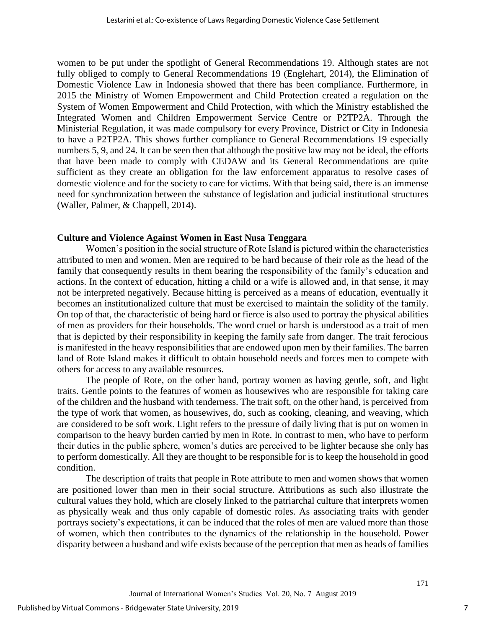women to be put under the spotlight of General Recommendations 19. Although states are not fully obliged to comply to General Recommendations 19 (Englehart, 2014), the Elimination of Domestic Violence Law in Indonesia showed that there has been compliance. Furthermore, in 2015 the Ministry of Women Empowerment and Child Protection created a regulation on the System of Women Empowerment and Child Protection, with which the Ministry established the Integrated Women and Children Empowerment Service Centre or P2TP2A. Through the Ministerial Regulation, it was made compulsory for every Province, District or City in Indonesia to have a P2TP2A. This shows further compliance to General Recommendations 19 especially numbers 5, 9, and 24. It can be seen then that although the positive law may not be ideal, the efforts that have been made to comply with CEDAW and its General Recommendations are quite sufficient as they create an obligation for the law enforcement apparatus to resolve cases of domestic violence and for the society to care for victims. With that being said, there is an immense need for synchronization between the substance of legislation and judicial institutional structures (Waller, Palmer, & Chappell, 2014).

#### **Culture and Violence Against Women in East Nusa Tenggara**

Women's position in the social structure of Rote Island is pictured within the characteristics attributed to men and women. Men are required to be hard because of their role as the head of the family that consequently results in them bearing the responsibility of the family's education and actions. In the context of education, hitting a child or a wife is allowed and, in that sense, it may not be interpreted negatively. Because hitting is perceived as a means of education, eventually it becomes an institutionalized culture that must be exercised to maintain the solidity of the family. On top of that, the characteristic of being hard or fierce is also used to portray the physical abilities of men as providers for their households. The word cruel or harsh is understood as a trait of men that is depicted by their responsibility in keeping the family safe from danger. The trait ferocious is manifested in the heavy responsibilities that are endowed upon men by their families. The barren land of Rote Island makes it difficult to obtain household needs and forces men to compete with others for access to any available resources.

The people of Rote, on the other hand, portray women as having gentle, soft, and light traits. Gentle points to the features of women as housewives who are responsible for taking care of the children and the husband with tenderness. The trait soft, on the other hand, is perceived from the type of work that women, as housewives, do, such as cooking, cleaning, and weaving, which are considered to be soft work. Light refers to the pressure of daily living that is put on women in comparison to the heavy burden carried by men in Rote. In contrast to men, who have to perform their duties in the public sphere, women's duties are perceived to be lighter because she only has to perform domestically. All they are thought to be responsible for is to keep the household in good condition.

The description of traits that people in Rote attribute to men and women shows that women are positioned lower than men in their social structure. Attributions as such also illustrate the cultural values they hold, which are closely linked to the patriarchal culture that interprets women as physically weak and thus only capable of domestic roles. As associating traits with gender portrays society's expectations, it can be induced that the roles of men are valued more than those of women, which then contributes to the dynamics of the relationship in the household. Power disparity between a husband and wife exists because of the perception that men as heads of families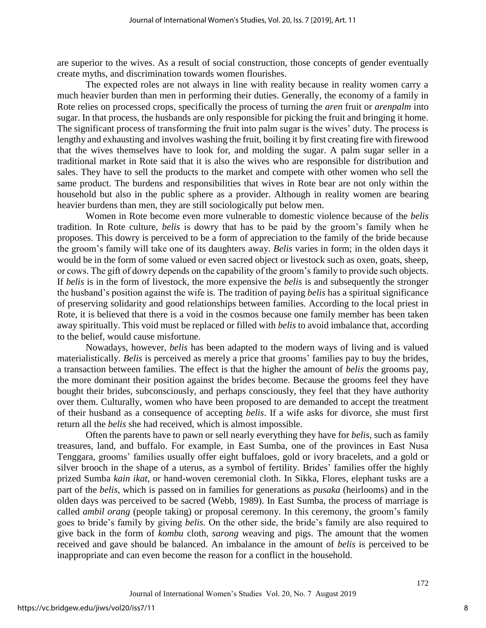are superior to the wives. As a result of social construction, those concepts of gender eventually create myths, and discrimination towards women flourishes.

The expected roles are not always in line with reality because in reality women carry a much heavier burden than men in performing their duties. Generally, the economy of a family in Rote relies on processed crops, specifically the process of turning the *aren* fruit or *arenpalm* into sugar. In that process, the husbands are only responsible for picking the fruit and bringing it home. The significant process of transforming the fruit into palm sugar is the wives' duty. The process is lengthy and exhausting and involves washing the fruit, boiling it by first creating fire with firewood that the wives themselves have to look for, and molding the sugar. A palm sugar seller in a traditional market in Rote said that it is also the wives who are responsible for distribution and sales. They have to sell the products to the market and compete with other women who sell the same product. The burdens and responsibilities that wives in Rote bear are not only within the household but also in the public sphere as a provider. Although in reality women are bearing heavier burdens than men, they are still sociologically put below men.

Women in Rote become even more vulnerable to domestic violence because of the *belis*  tradition. In Rote culture, *belis* is dowry that has to be paid by the groom's family when he proposes. This dowry is perceived to be a form of appreciation to the family of the bride because the groom's family will take one of its daughters away. *Belis* varies in form; in the olden days it would be in the form of some valued or even sacred object or livestock such as oxen, goats, sheep, or cows. The gift of dowry depends on the capability of the groom's family to provide such objects. If *belis* is in the form of livestock, the more expensive the *belis* is and subsequently the stronger the husband's position against the wife is. The tradition of paying *belis* has a spiritual significance of preserving solidarity and good relationships between families. According to the local priest in Rote, it is believed that there is a void in the cosmos because one family member has been taken away spiritually. This void must be replaced or filled with *belis* to avoid imbalance that, according to the belief, would cause misfortune.

Nowadays, however, *belis* has been adapted to the modern ways of living and is valued materialistically. *Belis* is perceived as merely a price that grooms' families pay to buy the brides, a transaction between families. The effect is that the higher the amount of *belis* the grooms pay, the more dominant their position against the brides become. Because the grooms feel they have bought their brides, subconsciously, and perhaps consciously, they feel that they have authority over them. Culturally, women who have been proposed to are demanded to accept the treatment of their husband as a consequence of accepting *belis*. If a wife asks for divorce, she must first return all the *belis* she had received, which is almost impossible.

Often the parents have to pawn or sell nearly everything they have for *belis,* such as family treasures, land, and buffalo. For example, in East Sumba, one of the provinces in East Nusa Tenggara, grooms' families usually offer eight buffaloes, gold or ivory bracelets, and a gold or silver brooch in the shape of a uterus, as a symbol of fertility. Brides' families offer the highly prized Sumba *kain ikat*, or hand-woven ceremonial cloth. In Sikka, Flores, elephant tusks are a part of the *belis*, which is passed on in families for generations as *pusaka* (heirlooms) and in the olden days was perceived to be sacred (Webb, 1989). In East Sumba, the process of marriage is called *ambil orang* (people taking) or proposal ceremony. In this ceremony, the groom's family goes to bride's family by giving *belis.* On the other side, the bride's family are also required to give back in the form of *kombu* cloth, *sarong* weaving and pigs. The amount that the women received and gave should be balanced. An imbalance in the amount of *belis* is perceived to be inappropriate and can even become the reason for a conflict in the household.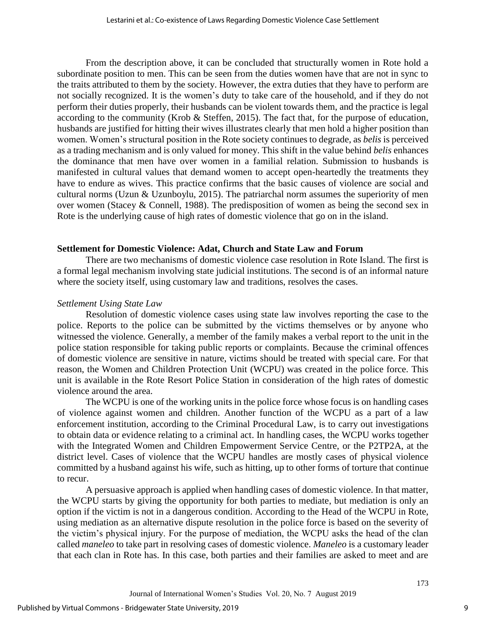From the description above, it can be concluded that structurally women in Rote hold a subordinate position to men. This can be seen from the duties women have that are not in sync to the traits attributed to them by the society. However, the extra duties that they have to perform are not socially recognized. It is the women's duty to take care of the household, and if they do not perform their duties properly, their husbands can be violent towards them, and the practice is legal according to the community (Krob & Steffen, 2015). The fact that, for the purpose of education, husbands are justified for hitting their wives illustrates clearly that men hold a higher position than women. Women's structural position in the Rote society continues to degrade, as *belis* is perceived as a trading mechanism and is only valued for money. This shift in the value behind *belis* enhances the dominance that men have over women in a familial relation. Submission to husbands is manifested in cultural values that demand women to accept open-heartedly the treatments they have to endure as wives. This practice confirms that the basic causes of violence are social and cultural norms (Uzun & Uzunboylu, 2015). The patriarchal norm assumes the superiority of men over women (Stacey & Connell, 1988). The predisposition of women as being the second sex in Rote is the underlying cause of high rates of domestic violence that go on in the island.

#### **Settlement for Domestic Violence: Adat, Church and State Law and Forum**

There are two mechanisms of domestic violence case resolution in Rote Island. The first is a formal legal mechanism involving state judicial institutions. The second is of an informal nature where the society itself, using customary law and traditions, resolves the cases.

## *Settlement Using State Law*

Resolution of domestic violence cases using state law involves reporting the case to the police. Reports to the police can be submitted by the victims themselves or by anyone who witnessed the violence. Generally, a member of the family makes a verbal report to the unit in the police station responsible for taking public reports or complaints. Because the criminal offences of domestic violence are sensitive in nature, victims should be treated with special care. For that reason, the Women and Children Protection Unit (WCPU) was created in the police force. This unit is available in the Rote Resort Police Station in consideration of the high rates of domestic violence around the area.

The WCPU is one of the working units in the police force whose focus is on handling cases of violence against women and children. Another function of the WCPU as a part of a law enforcement institution, according to the Criminal Procedural Law, is to carry out investigations to obtain data or evidence relating to a criminal act. In handling cases, the WCPU works together with the Integrated Women and Children Empowerment Service Centre, or the P2TP2A, at the district level. Cases of violence that the WCPU handles are mostly cases of physical violence committed by a husband against his wife, such as hitting, up to other forms of torture that continue to recur.

A persuasive approach is applied when handling cases of domestic violence. In that matter, the WCPU starts by giving the opportunity for both parties to mediate, but mediation is only an option if the victim is not in a dangerous condition. According to the Head of the WCPU in Rote, using mediation as an alternative dispute resolution in the police force is based on the severity of the victim's physical injury. For the purpose of mediation, the WCPU asks the head of the clan called *maneleo* to take part in resolving cases of domestic violence. *Maneleo* is a customary leader that each clan in Rote has. In this case, both parties and their families are asked to meet and are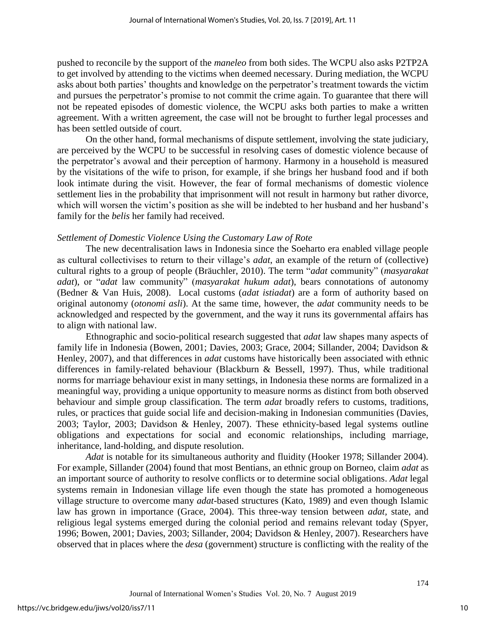pushed to reconcile by the support of the *maneleo* from both sides. The WCPU also asks P2TP2A to get involved by attending to the victims when deemed necessary. During mediation, the WCPU asks about both parties' thoughts and knowledge on the perpetrator's treatment towards the victim and pursues the perpetrator's promise to not commit the crime again. To guarantee that there will not be repeated episodes of domestic violence, the WCPU asks both parties to make a written agreement. With a written agreement, the case will not be brought to further legal processes and has been settled outside of court.

On the other hand, formal mechanisms of dispute settlement, involving the state judiciary, are perceived by the WCPU to be successful in resolving cases of domestic violence because of the perpetrator's avowal and their perception of harmony. Harmony in a household is measured by the visitations of the wife to prison, for example, if she brings her husband food and if both look intimate during the visit. However, the fear of formal mechanisms of domestic violence settlement lies in the probability that imprisonment will not result in harmony but rather divorce, which will worsen the victim's position as she will be indebted to her husband and her husband's family for the *belis* her family had received.

#### *Settlement of Domestic Violence Using the Customary Law of Rote*

The new decentralisation laws in Indonesia since the Soeharto era enabled village people as cultural collectivises to return to their village's *adat*, an example of the return of (collective) cultural rights to a group of people (Bräuchler, 2010). The term "*adat* community" (*masyarakat adat*), or "*adat* law community" (*masyarakat hukum adat*), bears connotations of autonomy (Bedner & Van Huis, 2008). Local customs (*adat istiadat*) are a form of authority based on original autonomy (*otonomi asli*). At the same time, however, the *adat* community needs to be acknowledged and respected by the government, and the way it runs its governmental affairs has to align with national law.

Ethnographic and socio-political research suggested that *adat* law shapes many aspects of family life in Indonesia (Bowen, 2001; Davies, 2003; Grace, 2004; Sillander, 2004; Davidson & Henley, 2007), and that differences in *adat* customs have historically been associated with ethnic differences in family-related behaviour (Blackburn & Bessell, 1997). Thus, while traditional norms for marriage behaviour exist in many settings, in Indonesia these norms are formalized in a meaningful way, providing a unique opportunity to measure norms as distinct from both observed behaviour and simple group classification. The term *adat* broadly refers to customs, traditions, rules, or practices that guide social life and decision-making in Indonesian communities (Davies, 2003; Taylor, 2003; Davidson & Henley, 2007). These ethnicity-based legal systems outline obligations and expectations for social and economic relationships, including marriage, inheritance, land-holding, and dispute resolution.

*Adat* is notable for its simultaneous authority and fluidity (Hooker 1978; Sillander 2004). For example, Sillander (2004) found that most Bentians, an ethnic group on Borneo, claim *adat* as an important source of authority to resolve conflicts or to determine social obligations. *Adat* legal systems remain in Indonesian village life even though the state has promoted a homogeneous village structure to overcome many *adat-*based structures (Kato, 1989) and even though Islamic law has grown in importance (Grace, 2004). This three-way tension between *adat,* state, and religious legal systems emerged during the colonial period and remains relevant today (Spyer, 1996; Bowen, 2001; Davies, 2003; Sillander, 2004; Davidson & Henley, 2007). Researchers have observed that in places where the *desa* (government) structure is conflicting with the reality of the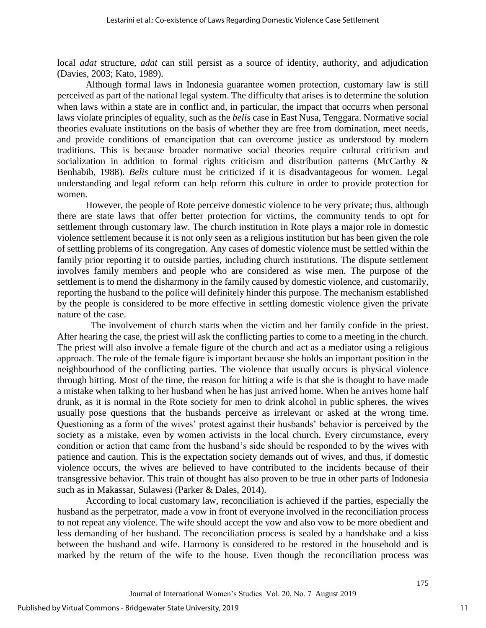local *adat* structure, *adat* can still persist as a source of identity, authority, and adjudication (Davies, 2003; Kato, 1989).

Although formal laws in Indonesia guarantee women protection, customary law is still perceived as part of the national legal system. The difficulty that arises is to determine the solution when laws within a state are in conflict and, in particular, the impact that occurrs when personal laws violate principles of equality, such as the *belis* case in East Nusa, Tenggara. Normative social theories evaluate institutions on the basis of whether they are free from domination, meet needs, and provide conditions of emancipation that can overcome justice as understood by modern traditions. This is because broader normative social theories require cultural criticism and socialization in addition to formal rights criticism and distribution patterns (McCarthy & Benhabib, 1988). *Belis* culture must be criticized if it is disadvantageous for women. Legal understanding and legal reform can help reform this culture in order to provide protection for women.

However, the people of Rote perceive domestic violence to be very private; thus, although there are state laws that offer better protection for victims, the community tends to opt for settlement through customary law. The church institution in Rote plays a major role in domestic violence settlement because it is not only seen as a religious institution but has been given the role of settling problems of its congregation. Any cases of domestic violence must be settled within the family prior reporting it to outside parties, including church institutions. The dispute settlement involves family members and people who are considered as wise men. The purpose of the settlement is to mend the disharmony in the family caused by domestic violence, and customarily, reporting the husband to the police will definitely hinder this purpose. The mechanism established by the people is considered to be more effective in settling domestic violence given the private nature of the case.

The involvement of church starts when the victim and her family confide in the priest. After hearing the case, the priest will ask the conflicting parties to come to a meeting in the church. The priest will also involve a female figure of the church and act as a mediator using a religious approach. The role of the female figure is important because she holds an important position in the neighbourhood of the conflicting parties. The violence that usually occurs is physical violence through hitting. Most of the time, the reason for hitting a wife is that she is thought to have made a mistake when talking to her husband when he has just arrived home. When he arrives home half drunk, as it is normal in the Rote society for men to drink alcohol in public spheres, the wives usually pose questions that the husbands perceive as irrelevant or asked at the wrong time. Questioning as a form of the wives' protest against their husbands' behavior is perceived by the society as a mistake, even by women activists in the local church. Every circumstance, every condition or action that came from the husband's side should be responded to by the wives with patience and caution. This is the expectation society demands out of wives, and thus, if domestic violence occurs, the wives are believed to have contributed to the incidents because of their transgressive behavior. This train of thought has also proven to be true in other parts of Indonesia such as in Makassar, Sulawesi (Parker & Dales, 2014).

According to local customary law, reconciliation is achieved if the parties, especially the husband as the perpetrator, made a vow in front of everyone involved in the reconciliation process to not repeat any violence. The wife should accept the vow and also vow to be more obedient and less demanding of her husband. The reconciliation process is sealed by a handshake and a kiss between the husband and wife. Harmony is considered to be restored in the household and is marked by the return of the wife to the house. Even though the reconciliation process was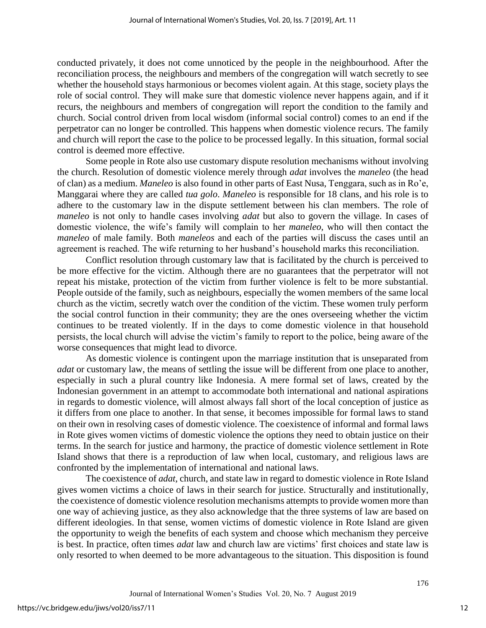conducted privately, it does not come unnoticed by the people in the neighbourhood. After the reconciliation process, the neighbours and members of the congregation will watch secretly to see whether the household stays harmonious or becomes violent again. At this stage, society plays the role of social control. They will make sure that domestic violence never happens again, and if it recurs, the neighbours and members of congregation will report the condition to the family and church. Social control driven from local wisdom (informal social control) comes to an end if the perpetrator can no longer be controlled. This happens when domestic violence recurs. The family and church will report the case to the police to be processed legally. In this situation, formal social control is deemed more effective.

Some people in Rote also use customary dispute resolution mechanisms without involving the church. Resolution of domestic violence merely through *adat* involves the *maneleo* (the head of clan) as a medium. *Maneleo* is also found in other parts of East Nusa, Tenggara, such as in Ro'e, Manggarai where they are called *tua golo*. *Maneleo* is responsible for 18 clans, and his role is to adhere to the customary law in the dispute settlement between his clan members. The role of *maneleo* is not only to handle cases involving *adat* but also to govern the village. In cases of domestic violence, the wife's family will complain to her *maneleo*, who will then contact the *maneleo* of male family. Both *maneleos* and each of the parties will discuss the cases until an agreement is reached. The wife returning to her husband's household marks this reconciliation.

Conflict resolution through customary law that is facilitated by the church is perceived to be more effective for the victim. Although there are no guarantees that the perpetrator will not repeat his mistake, protection of the victim from further violence is felt to be more substantial. People outside of the family, such as neighbours, especially the women members of the same local church as the victim, secretly watch over the condition of the victim. These women truly perform the social control function in their community; they are the ones overseeing whether the victim continues to be treated violently. If in the days to come domestic violence in that household persists, the local church will advise the victim's family to report to the police, being aware of the worse consequences that might lead to divorce.

As domestic violence is contingent upon the marriage institution that is unseparated from *adat* or customary law, the means of settling the issue will be different from one place to another, especially in such a plural country like Indonesia. A mere formal set of laws, created by the Indonesian government in an attempt to accommodate both international and national aspirations in regards to domestic violence, will almost always fall short of the local conception of justice as it differs from one place to another. In that sense, it becomes impossible for formal laws to stand on their own in resolving cases of domestic violence. The coexistence of informal and formal laws in Rote gives women victims of domestic violence the options they need to obtain justice on their terms. In the search for justice and harmony, the practice of domestic violence settlement in Rote Island shows that there is a reproduction of law when local, customary, and religious laws are confronted by the implementation of international and national laws.

The coexistence of *adat*, church, and state law in regard to domestic violence in Rote Island gives women victims a choice of laws in their search for justice. Structurally and institutionally, the coexistence of domestic violence resolution mechanisms attempts to provide women more than one way of achieving justice, as they also acknowledge that the three systems of law are based on different ideologies. In that sense, women victims of domestic violence in Rote Island are given the opportunity to weigh the benefits of each system and choose which mechanism they perceive is best. In practice, often times *adat* law and church law are victims' first choices and state law is only resorted to when deemed to be more advantageous to the situation. This disposition is found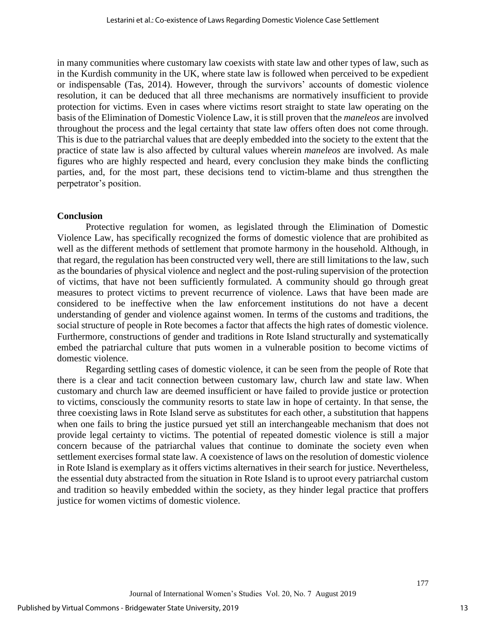in many communities where customary law coexists with state law and other types of law, such as in the Kurdish community in the UK, where state law is followed when perceived to be expedient or indispensable (Tas, 2014). However, through the survivors' accounts of domestic violence resolution, it can be deduced that all three mechanisms are normatively insufficient to provide protection for victims. Even in cases where victims resort straight to state law operating on the basis of the Elimination of Domestic Violence Law, it is still proven that the *maneleos* are involved throughout the process and the legal certainty that state law offers often does not come through. This is due to the patriarchal values that are deeply embedded into the society to the extent that the practice of state law is also affected by cultural values wherein *maneleos* are involved. As male figures who are highly respected and heard, every conclusion they make binds the conflicting parties, and, for the most part, these decisions tend to victim-blame and thus strengthen the perpetrator's position.

#### **Conclusion**

Protective regulation for women, as legislated through the Elimination of Domestic Violence Law, has specifically recognized the forms of domestic violence that are prohibited as well as the different methods of settlement that promote harmony in the household. Although, in that regard, the regulation has been constructed very well, there are still limitations to the law, such as the boundaries of physical violence and neglect and the post-ruling supervision of the protection of victims, that have not been sufficiently formulated. A community should go through great measures to protect victims to prevent recurrence of violence. Laws that have been made are considered to be ineffective when the law enforcement institutions do not have a decent understanding of gender and violence against women. In terms of the customs and traditions, the social structure of people in Rote becomes a factor that affects the high rates of domestic violence. Furthermore, constructions of gender and traditions in Rote Island structurally and systematically embed the patriarchal culture that puts women in a vulnerable position to become victims of domestic violence.

Regarding settling cases of domestic violence, it can be seen from the people of Rote that there is a clear and tacit connection between customary law, church law and state law. When customary and church law are deemed insufficient or have failed to provide justice or protection to victims, consciously the community resorts to state law in hope of certainty. In that sense, the three coexisting laws in Rote Island serve as substitutes for each other, a substitution that happens when one fails to bring the justice pursued yet still an interchangeable mechanism that does not provide legal certainty to victims. The potential of repeated domestic violence is still a major concern because of the patriarchal values that continue to dominate the society even when settlement exercises formal state law. A coexistence of laws on the resolution of domestic violence in Rote Island is exemplary as it offers victims alternatives in their search for justice. Nevertheless, the essential duty abstracted from the situation in Rote Island is to uproot every patriarchal custom and tradition so heavily embedded within the society, as they hinder legal practice that proffers justice for women victims of domestic violence.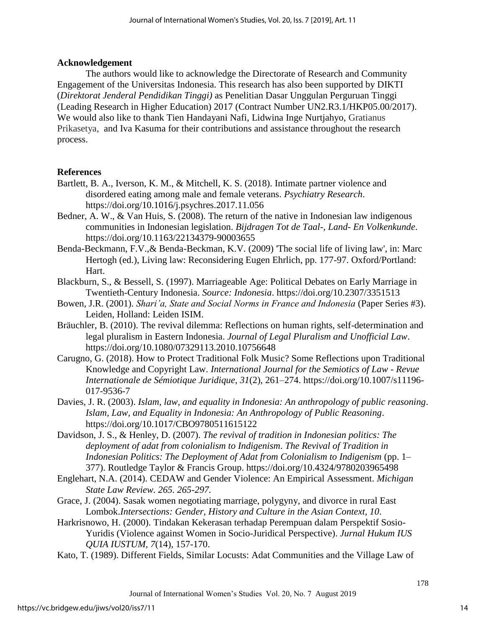## **Acknowledgement**

The authors would like to acknowledge the Directorate of Research and Community Engagement of the Universitas Indonesia. This research has also been supported by DIKTI (*Direktorat Jenderal Pendidikan Tinggi)* as Penelitian Dasar Unggulan Perguruan Tinggi (Leading Research in Higher Education) 2017 (Contract Number UN2.R3.1/HKP05.00/2017). We would also like to thank Tien Handayani Nafi, Lidwina Inge Nurtjahyo, Gratianus Prikasetya, and Iva Kasuma for their contributions and assistance throughout the research process.

## **References**

- Bartlett, B. A., Iverson, K. M., & Mitchell, K. S. (2018). Intimate partner violence and disordered eating among male and female veterans. *Psychiatry Research*. https://doi.org/10.1016/j.psychres.2017.11.056
- Bedner, A. W., & Van Huis, S. (2008). The return of the native in Indonesian law indigenous communities in Indonesian legislation. *Bijdragen Tot de Taal-, Land- En Volkenkunde*. https://doi.org/10.1163/22134379-90003655
- Benda-Beckmann, F.V.,& Benda-Beckman, K.V. (2009) 'The social life of living law', in: Marc Hertogh (ed.), Living law: Reconsidering Eugen Ehrlich, pp. 177-97. Oxford/Portland: Hart.
- Blackburn, S., & Bessell, S. (1997). Marriageable Age: Political Debates on Early Marriage in Twentieth-Century Indonesia. *Source: Indonesia*. https://doi.org/10.2307/3351513
- Bowen, J.R. (2001). *Shari'a, State and Social Norms in France and Indonesia* (Paper Series #3). Leiden, Holland: Leiden ISIM.
- Bräuchler, B. (2010). The revival dilemma: Reflections on human rights, self-determination and legal pluralism in Eastern Indonesia. *Journal of Legal Pluralism and Unofficial Law*. https://doi.org/10.1080/07329113.2010.10756648
- Carugno, G. (2018). How to Protect Traditional Folk Music? Some Reflections upon Traditional Knowledge and Copyright Law. *International Journal for the Semiotics of Law - Revue Internationale de Sémiotique Juridique*, *31*(2), 261–274. https://doi.org/10.1007/s11196- 017-9536-7
- Davies, J. R. (2003). *Islam, law, and equality in Indonesia: An anthropology of public reasoning*. *Islam, Law, and Equality in Indonesia: An Anthropology of Public Reasoning*. https://doi.org/10.1017/CBO9780511615122
- Davidson, J. S., & Henley, D. (2007). *The revival of tradition in Indonesian politics: The deployment of adat from colonialism to Indigenism*. *The Revival of Tradition in Indonesian Politics: The Deployment of Adat from Colonialism to Indigenism (pp. 1–* 377). Routledge Taylor & Francis Group. https://doi.org/10.4324/9780203965498
- Englehart, N.A. (2014). CEDAW and Gender Violence: An Empirical Assessment. *Michigan State Law Review. 265. 265-297.*
- Grace, J. (2004). Sasak women negotiating marriage, polygyny, and divorce in rural East Lombok.*Intersections: Gender, History and Culture in the Asian Context, 10*.
- Harkrisnowo, H. (2000). Tindakan Kekerasan terhadap Perempuan dalam Perspektif Sosio-Yuridis (Violence against Women in Socio-Juridical Perspective). *Jurnal Hukum IUS QUIA IUSTUM, 7*(14), 157-170.
- Kato, T. (1989). Different Fields, Similar Locusts: Adat Communities and the Village Law of